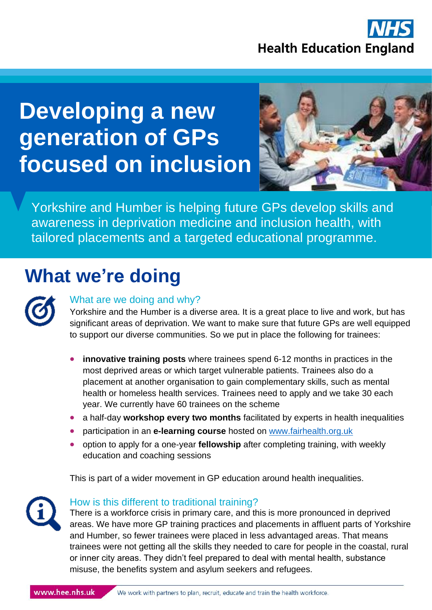

# **Developing a new generation of GPs focused on inclusion**



. awareness in deprivation medicine and inclusion health, with Yorkshire and Humber is helping future GPs develop skills and tailored placements and a targeted educational programme.

### **What we're doing**

### What are we doing and why?

Yorkshire and the Humber is a diverse area. It is a great place to live and work, but has significant areas of deprivation. We want to make sure that future GPs are well equipped to support our diverse communities. So we put in place the following for trainees:

- **innovative training posts** where trainees spend 6-12 months in practices in the most deprived areas or which target vulnerable patients. Trainees also do a placement at another organisation to gain complementary skills, such as mental health or homeless health services. Trainees need to apply and we take 30 each year. We currently have 60 trainees on the scheme
- a half-day **workshop every two months** facilitated by experts in health inequalities
- participation in an **e-learning course** hosted on [www.fairhealth.org.uk](http://www.fairhealth.org.uk/)
- option to apply for a one-year **fellowship** after completing training, with weekly education and coaching sessions

This is part of a wider movement in GP education around health inequalities.



#### How is this different to traditional training?

There is a workforce crisis in primary care, and this is more pronounced in deprived areas. We have more GP training practices and placements in affluent parts of Yorkshire and Humber, so fewer trainees were placed in less advantaged areas. That means trainees were not getting all the skills they needed to care for people in the coastal, rural or inner city areas. They didn't feel prepared to deal with mental health, substance misuse, the benefits system and asylum seekers and refugees.